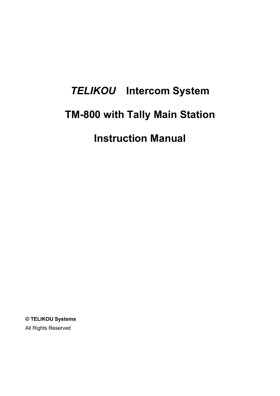# *TELIKOU* **Intercom System TM-800 with Tally Main Station Instruction Manual**

**© TELIKOU Systems** All Rights Reserved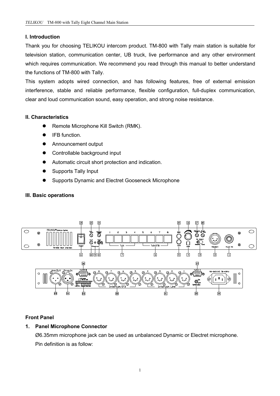# **I. Introduction**

Thank you for choosing TELIKOU intercom product. TM-800 with Tally main station is suitable for television station, communication center, UB truck, live performance and any other environment which requires communication. We recommend you read through this manual to better understand the functions of TM-800 with Tally.

This system adopts wired connection, and has following features, free of external emission interference, stable and reliable performance, flexible configuration, full-duplex communication, clear and loud communication sound, easy operation, and strong noise resistance.

# **II. Characteristics**

- Remote Microphone Kill Switch (RMK).
- IFB function.
- Announcement output
- Controllable background input
- Automatic circuit short protection and indication.
- Supports Tally Input
- Supports Dynamic and Electret Gooseneck Microphone

# **III. Basic operations**



# **Front Panel**

# **1. Panel Microphone Connector**

Ø6.35mm microphone jack can be used as unbalanced Dynamic or Electret microphone. Pin definition is as follow: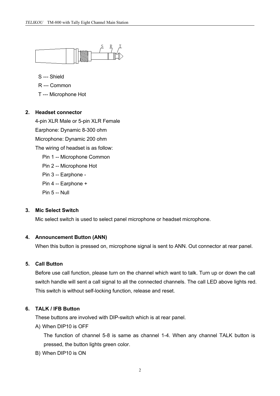

S --- Shield

- R --- Common
- T --- Microphone Hot

#### **2. Headset connector**

4-pin XLR Male or 5-pin XLR Female Earphone: Dynamic 8-300 ohm Microphone: Dynamic 200 ohm The wiring of headset is as follow: Pin 1 -- Microphone Common Pin 2 -- Microphone Hot Pin 3 -- Earphone - Pin 4 -- Earphone + Pin 5 -- Null

#### **3. Mic Select Switch**

Mic select switch is used to select panel microphone or headset microphone.

## **4. Announcement Button (ANN)**

When this button is pressed on, microphone signal is sent to ANN. Out connector at rear panel.

#### **5. Call Button**

Before use call function, please turn on the channel which want to talk. Turn up or down the call switch handle will sent a call signal to all the connected channels. The call LED above lights red. This switch is without self-locking function, release and reset.

# **6. TALK / IFB Button**

These buttons are involved with DIP-switch which is at rear panel.

A) When DIP10 is OFF

The function of channel 5-8 is same as channel 1-4. When any channel TALK button is pressed, the button lights green color.

B) When DIP10 is ON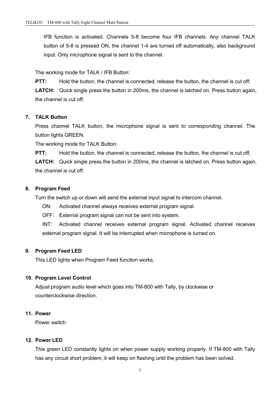IFB function is activated. Channels 5-8 become four IFB channels. Any channel TALK button of 5-8 is pressed ON, the channel 1-4 are turned off automatically, also background input. Only microphone signal is sent to the channel.

The working mode for TALK / IFB Button:

**PTT:** Hold the button, the channel is connected, release the button, the channel is cut off; **LATCH:** Quick single press the button in 200ms, the channel is latched on. Press button again,

the channel is cut off.

## **7. TALK Button**

Press channel TALK button, the microphone signal is sent to corresponding channel. The button lights GREEN.

The working mode for TALK Button:

**PTT:** Hold the button, the channel is connected, release the button, the channel is cut off;

**LATCH:** Quick single press the button in 200ms, the channel is latched on. Press button again, the channel is cut off.

## **8. Program Feed**

Turn the switch up or down will send the external input signal to intercom channel.

- ON: Activated channel always receives external program signal.
- OFF: External program signal can not be sent into system.

INT: Activated channel receives external program signal. Activated channel receives external program signal. It will be interrupted when microphone is turned on.

#### **9. Program Feed LED**

This LED lights when Program Feed function works.

#### **10. Program Level Control**

Adjust program audio level which goes into TM-800 with Tally, by clockwise or counterclockwise direction.

# **11. Power**

Power switch

#### **12. Power LED**

This green LED constantly lights on when power supply working properly. If TM-800 with Tally has any circuit short problem, it will keep on flashing until the problem has been solved.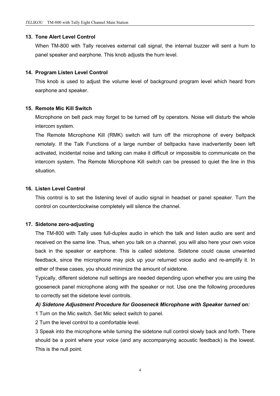#### **13. Tone Alert Level Control**

When TM-800 with Tally receives external call signal, the internal buzzer will sent a hum to panel speaker and earphone. This knob adjusts the hum level.

## **14. Program Listen Level Control**

This knob is used to adjust the volume level of background program level which heard from earphone and speaker.

#### **15. Remote Mic Kill Switch**

Microphone on belt pack may forget to be turned off by operators. Noise will disturb the whole intercom system.

The Remote Microphone Kill (RMK) switch will turn off the microphone of every beltpack remotely. If the Talk Functions of a large number of beltpacks have inadvertently been left activated, incidental noise and talking can make it difficult or impossible to communicate on the intercom system. The Remote Microphone Kill switch can be pressed to quiet the line in this situation.

#### **16. Listen Level Control**

This control is to set the listening level of audio signal in headset or panel speaker. Turn the control on counterclockwise completely will silence the channel.

#### **17. Sidetone zero-adjusting**

The TM-800 with Tally uses full-duplex audio in which the talk and listen audio are sent and received on the same line. Thus, when you talk on a channel, you will also here your own voice back in the speaker or earphone. This is called sidetone. Sidetone could cause unwanted feedback, since the microphone may pick up your returned voice audio and re-amplify it. In either of these cases, you should minimize the amount of sidetone.

Typically, different sidetone null settings are needed depending upon whether you are using the gooseneck panel microphone along with the speaker or not. Use one the following procedures to correctly set the sidetone level controls.

#### *A) Sidetone Adjustment Procedure for Gooseneck Microphone with Speaker turned on:*

1 Turn on the Mic switch. Set Mic select switch to panel.

2 Turn the level control to a comfortable level.

3 Speak into the microphone while turning the sidetone null control slowly back and forth. There should be a point where your voice (and any accompanying acoustic feedback) is the lowest. This is the null point.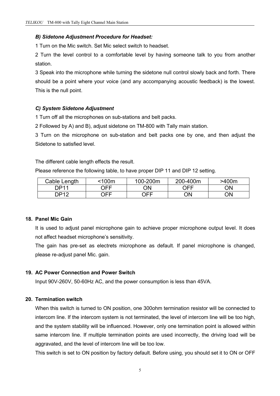## *B) Sidetone Adjustment Procedure for Headset:*

1 Turn on the Mic switch. Set Mic select switch to headset.

2 Turn the level control to a comfortable level by having someone talk to you from another station.

3 Speak into the microphone while turning the sidetone null control slowly back and forth. There should be a point where your voice (and any accompanying acoustic feedback) is the lowest. This is the null point.

## *C) System Sidetone Adjustment*

1 Turn off all the microphones on sub-stations and belt packs.

2 Followed by A) and B), adjust sidetone on TM-800 with Tally main station.

3 Turn on the microphone on sub-station and belt packs one by one, and then adjust the Sidetone to satisfied level.

The different cable length effects the result.

Please reference the following table, to have proper DIP 11 and DIP 12 setting.

| Length<br>Jable '  | $100m$     | 100-200m | 200-400m | >400m |
|--------------------|------------|----------|----------|-------|
| <b>DP11</b>        | <b>OFF</b> | ΟN       | ∩⊏⊏      | ON    |
| <b>DP12</b><br>. . | OFF        | OFF      | ΟN       | ON    |

#### **18. Panel Mic Gain**

It is used to adjust panel microphone gain to achieve proper microphone output level. It does not affect headset microphone's sensitivity.

The gain has pre-set as electrets microphone as default. If panel microphone is changed, please re-adjust panel Mic. gain.

#### **19. AC Power Connection and Power Switch**

Input 90V-260V, 50-60Hz AC, and the power consumption isless than 45VA.

#### **20. Termination switch**

When this switch is turned to ON position, one 300ohm termination resistor will be connected to intercom line. If the intercom system is not terminated, the level of intercom line will be too high, and the system stability will be influenced. However, only one termination point is allowed within same intercom line. If multiple termination points are used incorrectly, the driving load will be aggravated, and the level of intercom line will be too low.

This switch isset to ON position by factory default. Before using, you should set it to ON or OFF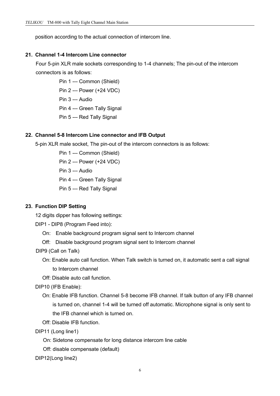position according to the actual connection of intercom line.

#### **21. Channel 1-4 Intercom Line connector**

Four 5-pin XLR male sockets corresponding to 1-4 channels; The pin-out of the intercom connectors is as follows:

> Pin 1 --- Common (Shield) Pin 2 --- Power (+24 VDC) Pin 3 --- Audio Pin 4 --- Green Tally Signal Pin 5 --- Red Tally Signal

#### **22. Channel 5-8 Intercom Line connector and IFB Output**

5-pin XLR male socket, The pin-out of the intercom connectors is as follows:

Pin 1 --- Common (Shield) Pin 2 --- Power (+24 VDC) Pin 3 --- Audio Pin 4 --- Green Tally Signal Pin 5 --- Red Tally Signal

#### **23. Function DIP Setting**

12 digits dipper has following settings:

DIP1 - DIP8 (Program Feed into):

- On: Enable background program signal sent to Intercom channel
- Off: Disable background program signal sent to Intercom channel

DIP9 (Call on Talk)

- On: Enable auto call function. When Talk switch is turned on, it automatic sent a call signal to Intercom channel
- Off: Disable auto call function.

DIP10 (IFB Enable):

On: Enable IFB function. Channel 5-8 become IFB channel. If talk button of any IFB channel is turned on, channel 1-4 will be turned off automatic. Microphone signal is only sent to the IFB channel which is turned on.

Off: Disable IFB function.

DIP11 (Long line1)

- On: Sidetone compensate for long distance intercom line cable
- Off: disable compensate (default)

DIP12(Long line2)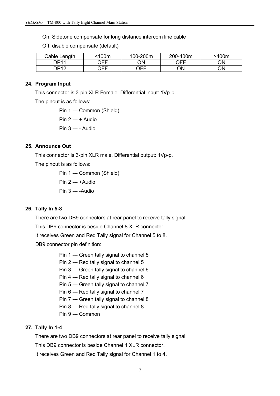On: Sidetone compensate for long distance intercom line cable

Off: disable compensate (default)

| Cable Length       | <100m | 100-200m | 200-400m | >400m |
|--------------------|-------|----------|----------|-------|
| DP11               | OFF   | ΟN       | OFF      | ON    |
| <b>DP12</b><br>. . | OFF   | OFF      | ΟN       | ΟN    |

## **24. Program Input**

This connector is 3-pin XLR Female. Differential input: 1Vp-p.

The pinout is as follows:

Pin 1 --- Common (Shield) Pin 2 --- + Audio Pin 3 --- - Audio

## **25. Announce Out**

This connector is 3-pin XLR male. Differential output: 1Vp-p.

The pinout is as follows:

Pin 1 --- Common (Shield) Pin 2 --- +Audio Pin 3 --- -Audio

#### **26. Tally In 5-8**

There are two DB9 connectors at rear panel to receive tally signal.

This DB9 connector is beside Channel 8 XLR connector.

It receives Green and Red Tally signal for Channel 5 to 8.

DB9 connector pin definition:

Pin 1 --- Green tally signal to channel 5

Pin 2 --- Red tally signal to channel 5

Pin 3 --- Green tally signal to channel 6

Pin 4 --- Red tally signal to channel 6

Pin 5 --- Green tally signal to channel 7

Pin 6 --- Red tally signal to channel 7

Pin 7 --- Green tally signal to channel 8

Pin 8 --- Red tally signal to channel 8

Pin 9 --- Common

#### **27. Tally In 1-4**

There are two DB9 connectors at rear panel to receive tally signal.

This DB9 connector is beside Channel 1 XLR connector.

It receives Green and Red Tally signal for Channel 1 to 4.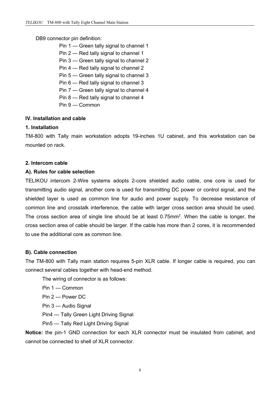## DB9 connector pin definition:

- Pin 1 --- Green tally signal to channel 1
- Pin 2 --- Red tally signal to channel 1
- Pin 3 --- Green tally signal to channel 2
- Pin 4 --- Red tally signal to channel 2
- Pin 5 --- Green tally signal to channel 3
- Pin 6 --- Red tally signal to channel 3
- Pin 7 --- Green tally signal to channel 4
- Pin 8 --- Red tally signal to channel 4
- Pin 9 --- Common

## **IV. Installation and cable**

#### **1. Installation**

TM-800 with Tally main workstation adopts 19-inches 1U cabinet, and this workstation can be mounted on rack.

#### **2. Intercom cable**

## **A). Rules for cable selection**

TELIKOU intercom 2-Wire systems adopts 2-core shielded audio cable, one core is used for transmitting audio signal, another core is used for transmitting DC power or control signal, and the shielded layer is used as common line for audio and power supply. To decrease resistance of common line and crosstalk interference, the cable with larger cross section area should be used. The cross section area of single line should be at least 0.75mm<sup>2</sup>. When the cable is longer, the cross section area of cable should be larger. If the cable has more than 2 cores, it is recommended to use the additional core as common line.

#### **B). Cable connection**

The TM-800 with Tally main station requires 5-pin XLR cable. If longer cable is required, you can connect several cables together with head-end method.

The wiring of connector is as follows:

- Pin 1 --- Common
- Pin 2 --- Power DC
- Pin 3 --- Audio Signal
- Pin4 --- Tally Green Light Driving Signal
- Pin5 --- Tally Red Light Driving Signal

**Notice:** the pin-1 GND connection for each XLR connector must be insulated from cabinet, and cannot be connected to shell of XLR connector.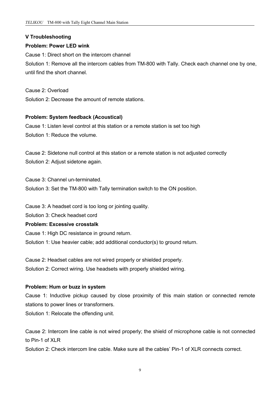# **V Troubleshooting**

# **Problem: Power LED wink**

Cause 1: Direct short on the intercom channel

Solution 1: Remove all the intercom cables from TM-800 with Tally. Check each channel one by one, until find the short channel.

Cause 2: Overload

Solution 2: Decrease the amount of remote stations.

# **Problem: System feedback (Acoustical)**

Cause 1: Listen level control at this station or a remote station is set too high Solution 1: Reduce the volume.

Cause 2: Sidetone null control at this station or a remote station is not adjusted correctly Solution 2: Adjust sidetone again.

Cause 3: Channel un-terminated. Solution 3: Set the TM-800 with Tally termination switch to the ON position.

Cause 3: A headset cord is too long or jointing quality.

Solution 3: Check headset cord

## **Problem: Excessive crosstalk**

Cause 1: High DC resistance in ground return. Solution 1: Use heavier cable; add additional conductor(s) to ground return.

Cause 2: Headset cables are not wired properly or shielded properly. Solution 2: Correct wiring. Use headsets with properly shielded wiring.

# **Problem: Hum or buzz in system**

Cause 1: Inductive pickup caused by close proximity of this main station or connected remote stations to power lines or transformers.

Solution 1: Relocate the offending unit.

Cause 2: Intercom line cable is not wired properly; the shield of microphone cable is not connected to Pin-1 of XLR

Solution 2: Check intercom line cable. Make sure all the cables' Pin-1 of XLR connects correct.